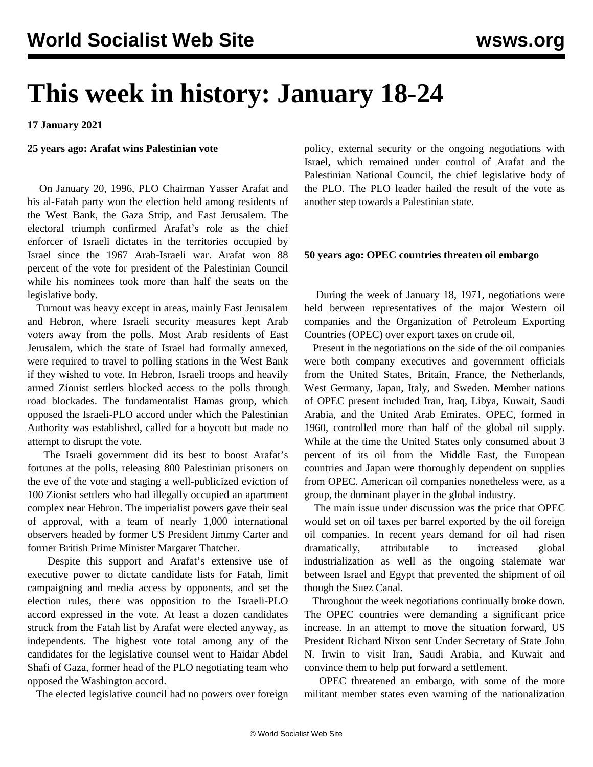# **This week in history: January 18-24**

**17 January 2021**

## **25 years ago: Arafat wins Palestinian vote**

 On January 20, 1996, PLO Chairman Yasser Arafat and his al-Fatah party won the election held among residents of the West Bank, the Gaza Strip, and East Jerusalem. The electoral triumph confirmed Arafat's role as the chief enforcer of Israeli dictates in the territories occupied by Israel since the 1967 Arab-Israeli war. Arafat won 88 percent of the vote for president of the Palestinian Council while his nominees took more than half the seats on the legislative body.

 Turnout was heavy except in areas, mainly East Jerusalem and Hebron, where Israeli security measures kept Arab voters away from the polls. Most Arab residents of East Jerusalem, which the state of Israel had formally annexed, were required to travel to polling stations in the West Bank if they wished to vote. In Hebron, Israeli troops and heavily armed Zionist settlers blocked access to the polls through road blockades. The fundamentalist Hamas group, which opposed the Israeli-PLO accord under which the Palestinian Authority was established, called for a boycott but made no attempt to disrupt the vote.

 The Israeli government did its best to boost Arafat's fortunes at the polls, releasing 800 Palestinian prisoners on the eve of the vote and staging a well-publicized eviction of 100 Zionist settlers who had illegally occupied an apartment complex near Hebron. The imperialist powers gave their seal of approval, with a team of nearly 1,000 international observers headed by former US President Jimmy Carter and former British Prime Minister Margaret Thatcher.

 Despite this support and Arafat's extensive use of executive power to dictate candidate lists for Fatah, limit campaigning and media access by opponents, and set the election rules, there was opposition to the Israeli-PLO accord expressed in the vote. At least a dozen candidates struck from the Fatah list by Arafat were elected anyway, as independents. The highest vote total among any of the candidates for the legislative counsel went to Haidar Abdel Shafi of Gaza, former head of the PLO negotiating team who opposed the Washington accord.

The elected legislative council had no powers over foreign

policy, external security or the ongoing negotiations with Israel, which remained under control of Arafat and the Palestinian National Council, the chief legislative body of the PLO. The PLO leader hailed the result of the vote as another step towards a Palestinian state.

## **50 years ago: OPEC countries threaten oil embargo**

 During the week of January 18, 1971, negotiations were held between representatives of the major Western oil companies and the Organization of Petroleum Exporting Countries (OPEC) over export taxes on crude oil.

 Present in the negotiations on the side of the oil companies were both company executives and government officials from the United States, Britain, France, the Netherlands, West Germany, Japan, Italy, and Sweden. Member nations of OPEC present included Iran, Iraq, Libya, Kuwait, Saudi Arabia, and the United Arab Emirates. OPEC, formed in 1960, controlled more than half of the global oil supply. While at the time the United States only consumed about 3 percent of its oil from the Middle East, the European countries and Japan were thoroughly dependent on supplies from OPEC. American oil companies nonetheless were, as a group, the dominant player in the global industry.

 The main issue under discussion was the price that OPEC would set on oil taxes per barrel exported by the oil foreign oil companies. In recent years demand for oil had risen dramatically, attributable to increased global industrialization as well as the ongoing stalemate war between Israel and Egypt that prevented the shipment of oil though the Suez Canal.

 Throughout the week negotiations continually broke down. The OPEC countries were demanding a significant price increase. In an attempt to move the situation forward, US President Richard Nixon sent Under Secretary of State John N. Irwin to visit Iran, Saudi Arabia, and Kuwait and convince them to help put forward a settlement.

 OPEC threatened an embargo, with some of the more militant member states even warning of the nationalization